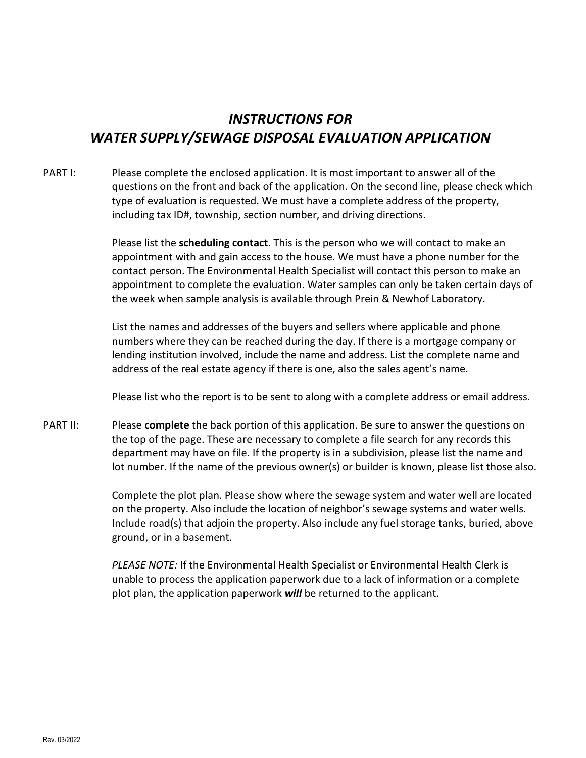# INSTRUCTIONS FOR WATER SUPPLY/SEWAGE DISPOSAL EVALUATION APPLICATION

PART I: Please complete the enclosed application. It is most important to answer all of the questions on the front and back of the application. On the second line, please check which type of evaluation is requested. We must have a complete address of the property, including tax ID#, township, section number, and driving directions.

> Please list the scheduling contact. This is the person who we will contact to make an appointment with and gain access to the house. We must have a phone number for the contact person. The Environmental Health Specialist will contact this person to make an appointment to complete the evaluation. Water samples can only be taken certain days of the week when sample analysis is available through Prein & Newhof Laboratory.

List the names and addresses of the buyers and sellers where applicable and phone numbers where they can be reached during the day. If there is a mortgage company or lending institution involved, include the name and address. List the complete name and address of the real estate agency if there is one, also the sales agent's name.

Please list who the report is to be sent to along with a complete address or email address.

PART II: Please **complete** the back portion of this application. Be sure to answer the questions on the top of the page. These are necessary to complete a file search for any records this department may have on file. If the property is in a subdivision, please list the name and lot number. If the name of the previous owner(s) or builder is known, please list those also.

> Complete the plot plan. Please show where the sewage system and water well are located on the property. Also include the location of neighbor's sewage systems and water wells. Include road(s) that adjoin the property. Also include any fuel storage tanks, buried, above ground, or in a basement.

PLEASE NOTE: If the Environmental Health Specialist or Environmental Health Clerk is unable to process the application paperwork due to a lack of information or a complete plot plan, the application paperwork will be returned to the applicant.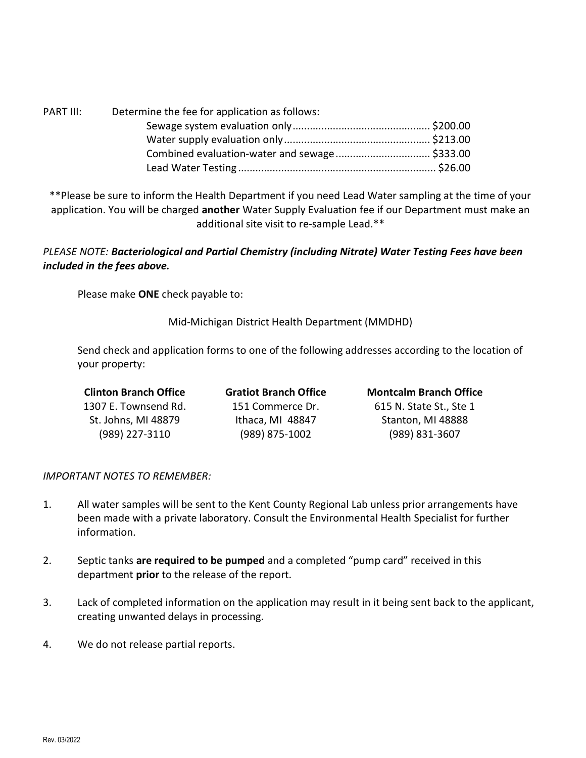| PART III: | Determine the fee for application as follows: |  |
|-----------|-----------------------------------------------|--|
|           |                                               |  |
|           |                                               |  |
|           |                                               |  |
|           |                                               |  |

\*\*Please be sure to inform the Health Department if you need Lead Water sampling at the time of your application. You will be charged another Water Supply Evaluation fee if our Department must make an additional site visit to re-sample Lead.\*\*

## PLEASE NOTE: Bacteriological and Partial Chemistry (including Nitrate) Water Testing Fees have been included in the fees above.

Please make ONE check payable to:

Mid-Michigan District Health Department (MMDHD)

Send check and application forms to one of the following addresses according to the location of your property:

| <b>Clinton Branch Office</b> | <b>Gratiot Branch Office</b> | <b>Montcalm Branch Office</b> |
|------------------------------|------------------------------|-------------------------------|
| 1307 E. Townsend Rd.         | 151 Commerce Dr.             | 615 N. State St., Ste 1       |
| St. Johns, MI 48879          | Ithaca, MI 48847             | Stanton, MI 48888             |
| (989) 227-3110               | (989) 875-1002               | (989) 831-3607                |

## IMPORTANT NOTES TO REMEMBER:

- 1. All water samples will be sent to the Kent County Regional Lab unless prior arrangements have been made with a private laboratory. Consult the Environmental Health Specialist for further information.
- 2. Septic tanks are required to be pumped and a completed "pump card" received in this department prior to the release of the report.
- 3. Lack of completed information on the application may result in it being sent back to the applicant, creating unwanted delays in processing.
- 4. We do not release partial reports.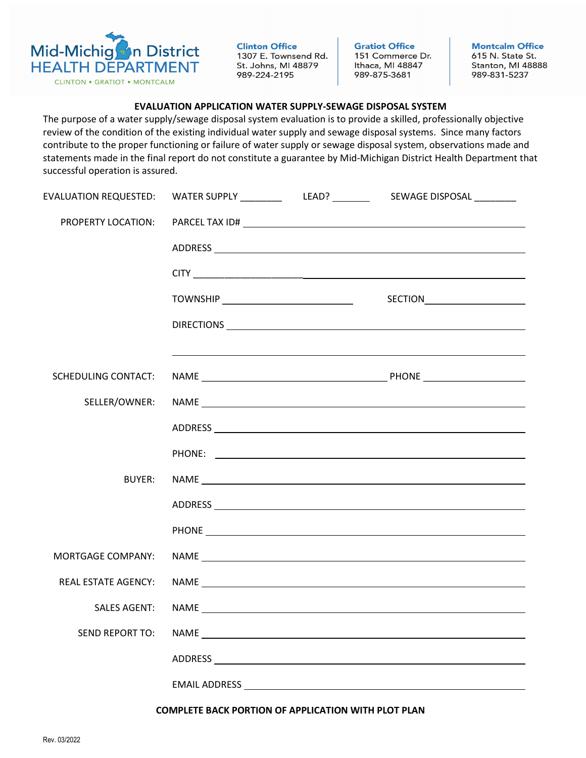

**Clinton Office** 1307 E. Townsend Rd. St. Johns, MI 48879 989-224-2195

**Gratiot Office** 151 Commerce Dr. Ithaca, MI 48847 989-875-3681

**Montcalm Office** 615 N. State St. Stanton, MI 48888 989-831-5237

### EVALUATION APPLICATION WATER SUPPLY-SEWAGE DISPOSAL SYSTEM

The purpose of a water supply/sewage disposal system evaluation is to provide a skilled, professionally objective review of the condition of the existing individual water supply and sewage disposal systems. Since many factors contribute to the proper functioning or failure of water supply or sewage disposal system, observations made and statements made in the final report do not constitute a guarantee by Mid-Michigan District Health Department that successful operation is assured.

|                            |  | EVALUATION REQUESTED:        WATER SUPPLY ________________LEAD? ________________ SEWAGE DISPOSAL __________            |
|----------------------------|--|------------------------------------------------------------------------------------------------------------------------|
| PROPERTY LOCATION:         |  |                                                                                                                        |
|                            |  |                                                                                                                        |
|                            |  |                                                                                                                        |
|                            |  |                                                                                                                        |
|                            |  |                                                                                                                        |
|                            |  | <u> 1989 - Johann Barn, mars ann an t-Amhain ann an t-Amhain ann an t-Amhain ann an t-Amhain an t-Amhain ann an t-</u> |
| SCHEDULING CONTACT:        |  |                                                                                                                        |
| SELLER/OWNER:              |  |                                                                                                                        |
|                            |  |                                                                                                                        |
|                            |  |                                                                                                                        |
| <b>BUYER:</b>              |  |                                                                                                                        |
|                            |  |                                                                                                                        |
|                            |  |                                                                                                                        |
| <b>MORTGAGE COMPANY:</b>   |  | NAME                                                                                                                   |
| <b>REAL ESTATE AGENCY:</b> |  |                                                                                                                        |
| <b>SALES AGENT:</b>        |  |                                                                                                                        |
| <b>SEND REPORT TO:</b>     |  |                                                                                                                        |
|                            |  |                                                                                                                        |
|                            |  |                                                                                                                        |
|                            |  |                                                                                                                        |

COMPLETE BACK PORTION OF APPLICATION WITH PLOT PLAN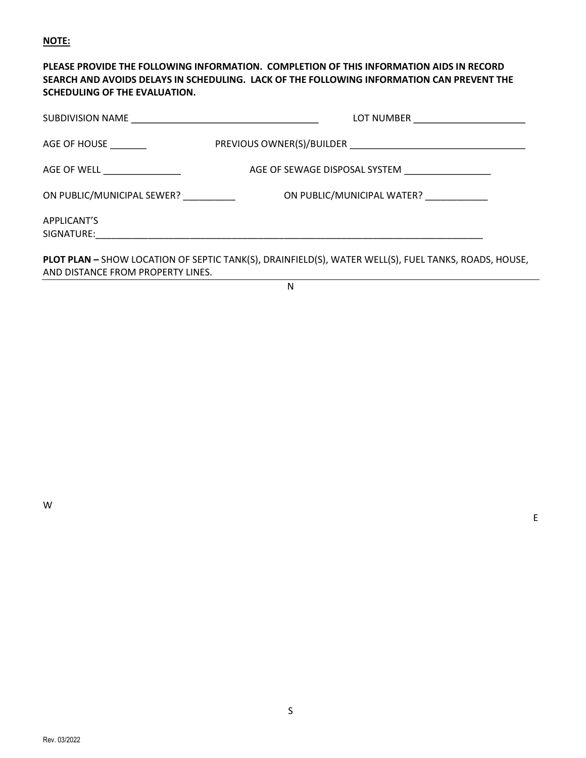### NOTE:

## PLEASE PROVIDE THE FOLLOWING INFORMATION. COMPLETION OF THIS INFORMATION AIDS IN RECORD SEARCH AND AVOIDS DELAYS IN SCHEDULING. LACK OF THE FOLLOWING INFORMATION CAN PREVENT THE SCHEDULING OF THE EVALUATION.

| AGE OF HOUSE _________     |                                                                                                      |
|----------------------------|------------------------------------------------------------------------------------------------------|
|                            |                                                                                                      |
| ON PUBLIC/MUNICIPAL SEWER? | ON PUBLIC/MUNICIPAL WATER?                                                                           |
| APPLICANT'S                |                                                                                                      |
|                            | PLOT PLAN - SHOW LOCATION OF SEPTIC TANK(S), DRAINFIELD(S), WATER WELL(S), FUEL TANKS, ROADS, HOUSE, |

AND DISTANCE FROM PROPERTY LINES.

N

W

experiments and the contract of the contract of the contract of the contract of the contract of the contract of